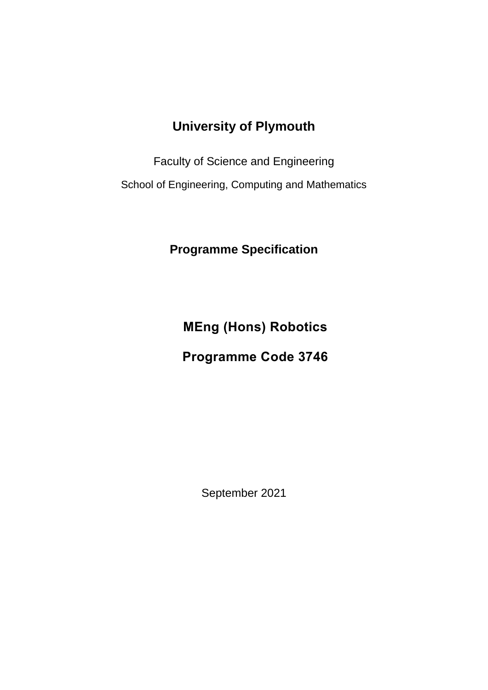# **University of Plymouth**

Faculty of Science and Engineering

School of Engineering, Computing and Mathematics

**Programme Specification**

**MEng (Hons) Robotics**

# **Programme Code 3746**

September 2021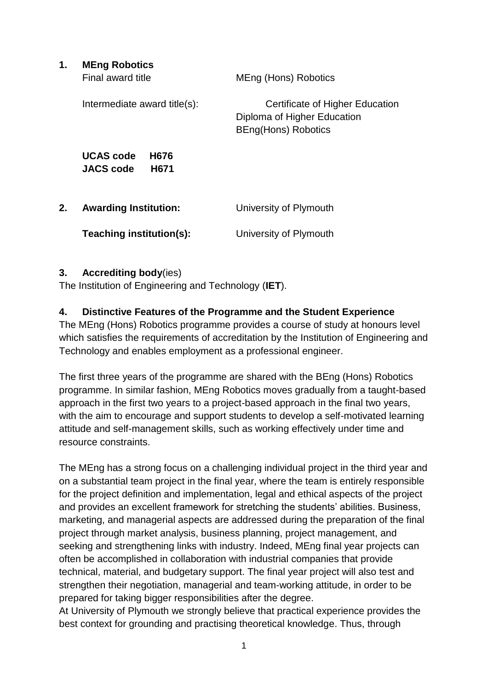| 1. | <b>MEng Robotics</b><br>Final award title            | MEng (Hons) Robotics                                                                         |
|----|------------------------------------------------------|----------------------------------------------------------------------------------------------|
|    | Intermediate award title(s):                         | Certificate of Higher Education<br>Diploma of Higher Education<br><b>BEng(Hons) Robotics</b> |
|    | <b>UCAS</b> code<br>H676<br><b>JACS code</b><br>H671 |                                                                                              |
| 2. | <b>Awarding Institution:</b>                         | University of Plymouth                                                                       |
|    | Teaching institution(s):                             | University of Plymouth                                                                       |

### **3. Accrediting body**(ies)

The Institution of Engineering and Technology (**IET**).

## **4. Distinctive Features of the Programme and the Student Experience**

The MEng (Hons) Robotics programme provides a course of study at honours level which satisfies the requirements of accreditation by the Institution of Engineering and Technology and enables employment as a professional engineer.

The first three years of the programme are shared with the BEng (Hons) Robotics programme. In similar fashion, MEng Robotics moves gradually from a taught-based approach in the first two years to a project-based approach in the final two years, with the aim to encourage and support students to develop a self-motivated learning attitude and self-management skills, such as working effectively under time and resource constraints.

The MEng has a strong focus on a challenging individual project in the third year and on a substantial team project in the final year, where the team is entirely responsible for the project definition and implementation, legal and ethical aspects of the project and provides an excellent framework for stretching the students' abilities. Business, marketing, and managerial aspects are addressed during the preparation of the final project through market analysis, business planning, project management, and seeking and strengthening links with industry. Indeed, MEng final year projects can often be accomplished in collaboration with industrial companies that provide technical, material, and budgetary support. The final year project will also test and strengthen their negotiation, managerial and team-working attitude, in order to be prepared for taking bigger responsibilities after the degree.

At University of Plymouth we strongly believe that practical experience provides the best context for grounding and practising theoretical knowledge. Thus, through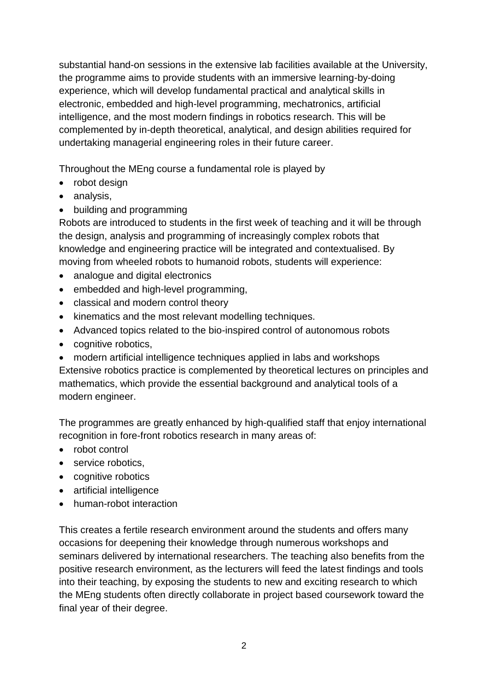substantial hand-on sessions in the extensive lab facilities available at the University, the programme aims to provide students with an immersive learning-by-doing experience, which will develop fundamental practical and analytical skills in electronic, embedded and high-level programming, mechatronics, artificial intelligence, and the most modern findings in robotics research. This will be complemented by in-depth theoretical, analytical, and design abilities required for undertaking managerial engineering roles in their future career.

Throughout the MEng course a fundamental role is played by

- robot design
- analysis,
- building and programming

Robots are introduced to students in the first week of teaching and it will be through the design, analysis and programming of increasingly complex robots that knowledge and engineering practice will be integrated and contextualised. By moving from wheeled robots to humanoid robots, students will experience:

- analogue and digital electronics
- embedded and high-level programming,
- classical and modern control theory
- kinematics and the most relevant modelling techniques.
- Advanced topics related to the bio-inspired control of autonomous robots
- cognitive robotics,
- modern artificial intelligence techniques applied in labs and workshops

Extensive robotics practice is complemented by theoretical lectures on principles and mathematics, which provide the essential background and analytical tools of a modern engineer.

The programmes are greatly enhanced by high-qualified staff that enjoy international recognition in fore-front robotics research in many areas of:

- robot control
- service robotics.
- cognitive robotics
- artificial intelligence
- human-robot interaction

This creates a fertile research environment around the students and offers many occasions for deepening their knowledge through numerous workshops and seminars delivered by international researchers. The teaching also benefits from the positive research environment, as the lecturers will feed the latest findings and tools into their teaching, by exposing the students to new and exciting research to which the MEng students often directly collaborate in project based coursework toward the final year of their degree.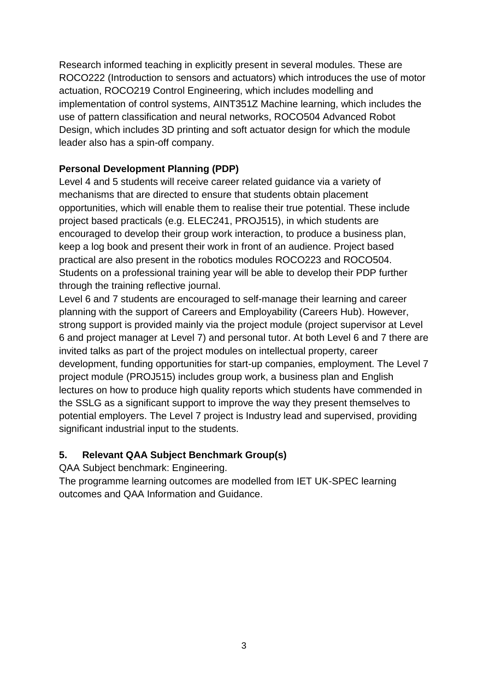Research informed teaching in explicitly present in several modules. These are ROCO222 (Introduction to sensors and actuators) which introduces the use of motor actuation, ROCO219 Control Engineering, which includes modelling and implementation of control systems, AINT351Z Machine learning, which includes the use of pattern classification and neural networks, ROCO504 Advanced Robot Design, which includes 3D printing and soft actuator design for which the module leader also has a spin-off company.

## **Personal Development Planning (PDP)**

Level 4 and 5 students will receive career related guidance via a variety of mechanisms that are directed to ensure that students obtain placement opportunities, which will enable them to realise their true potential. These include project based practicals (e.g. ELEC241, PROJ515), in which students are encouraged to develop their group work interaction, to produce a business plan, keep a log book and present their work in front of an audience. Project based practical are also present in the robotics modules ROCO223 and ROCO504. Students on a professional training year will be able to develop their PDP further through the training reflective journal.

Level 6 and 7 students are encouraged to self-manage their learning and career planning with the support of Careers and Employability (Careers Hub). However, strong support is provided mainly via the project module (project supervisor at Level 6 and project manager at Level 7) and personal tutor. At both Level 6 and 7 there are invited talks as part of the project modules on intellectual property, career development, funding opportunities for start-up companies, employment. The Level 7 project module (PROJ515) includes group work, a business plan and English lectures on how to produce high quality reports which students have commended in the SSLG as a significant support to improve the way they present themselves to potential employers. The Level 7 project is Industry lead and supervised, providing significant industrial input to the students.

## **5. Relevant QAA Subject Benchmark Group(s)**

QAA Subject benchmark: Engineering.

The programme learning outcomes are modelled from IET UK-SPEC learning outcomes and QAA Information and Guidance.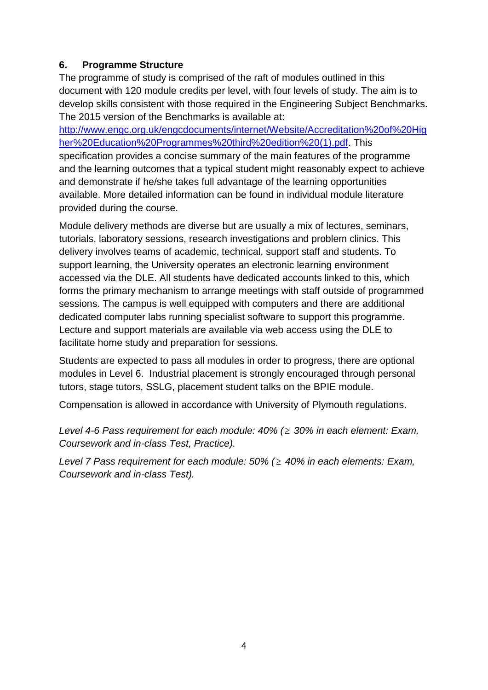## **6. Programme Structure**

The programme of study is comprised of the raft of modules outlined in this document with 120 module credits per level, with four levels of study. The aim is to develop skills consistent with those required in the Engineering Subject Benchmarks. The 2015 version of the Benchmarks is available at:

[http://www.engc.org.uk/engcdocuments/internet/Website/Accreditation%20of%20Hig](http://www.engc.org.uk/engcdocuments/internet/Website/Accreditation%20of%20Higher%20Education%20Programmes%20third%20edition%20(1).pdf) [her%20Education%20Programmes%20third%20edition%20\(1\).pdf.](http://www.engc.org.uk/engcdocuments/internet/Website/Accreditation%20of%20Higher%20Education%20Programmes%20third%20edition%20(1).pdf) This specification provides a concise summary of the main features of the programme and the learning outcomes that a typical student might reasonably expect to achieve and demonstrate if he/she takes full advantage of the learning opportunities available. More detailed information can be found in individual module literature provided during the course.

Module delivery methods are diverse but are usually a mix of lectures, seminars, tutorials, laboratory sessions, research investigations and problem clinics. This delivery involves teams of academic, technical, support staff and students. To support learning, the University operates an electronic learning environment accessed via the DLE. All students have dedicated accounts linked to this, which forms the primary mechanism to arrange meetings with staff outside of programmed sessions. The campus is well equipped with computers and there are additional dedicated computer labs running specialist software to support this programme. Lecture and support materials are available via web access using the DLE to facilitate home study and preparation for sessions.

Students are expected to pass all modules in order to progress, there are optional modules in Level 6. Industrial placement is strongly encouraged through personal tutors, stage tutors, SSLG, placement student talks on the BPIE module.

Compensation is allowed in accordance with University of Plymouth regulations.

*Level 4-6 Pass requirement for each module: 40% ( 30% in each element: Exam, Coursework and in-class Test, Practice).*

*Level 7 Pass requirement for each module: 50% ( 40% in each elements: Exam, Coursework and in-class Test).*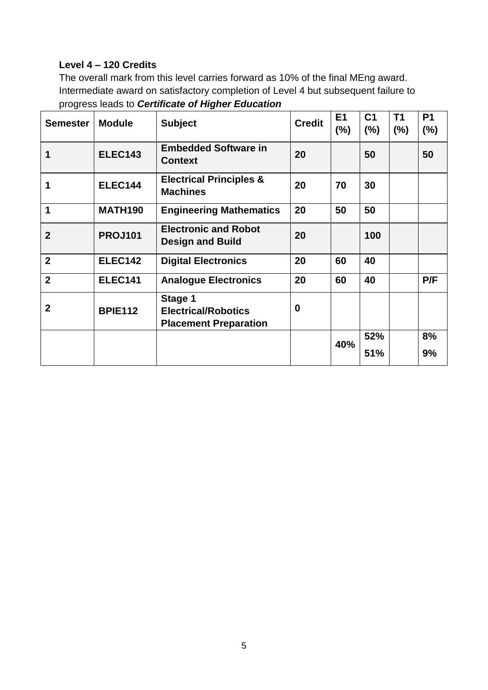## **Level 4 – 120 Credits**

The overall mark from this level carries forward as 10% of the final MEng award. Intermediate award on satisfactory completion of Level 4 but subsequent failure to progress leads to *Certificate of Higher Education*

| <b>Semester</b> | <b>Module</b>  | <b>Subject</b>                                                        | <b>Credit</b> | E1<br>$(\%)$ | C <sub>1</sub><br>(%) | <b>T1</b><br>(%) | P <sub>1</sub><br>$(\%)$ |
|-----------------|----------------|-----------------------------------------------------------------------|---------------|--------------|-----------------------|------------------|--------------------------|
| 1               | <b>ELEC143</b> | <b>Embedded Software in</b><br><b>Context</b>                         | 20            |              | 50                    |                  | 50                       |
| 1               | <b>ELEC144</b> | <b>Electrical Principles &amp;</b><br><b>Machines</b>                 | 20            | 70           | 30                    |                  |                          |
| 1               | <b>MATH190</b> | <b>Engineering Mathematics</b>                                        | 20            | 50           | 50                    |                  |                          |
| $\overline{2}$  | <b>PROJ101</b> | <b>Electronic and Robot</b><br><b>Design and Build</b>                | 20            |              | 100                   |                  |                          |
| $\overline{2}$  | <b>ELEC142</b> | <b>Digital Electronics</b>                                            | 20            | 60           | 40                    |                  |                          |
| $\overline{2}$  | <b>ELEC141</b> | <b>Analogue Electronics</b>                                           | 20            | 60           | 40                    |                  | P/F                      |
| $\overline{2}$  | <b>BPIE112</b> | Stage 1<br><b>Electrical/Robotics</b><br><b>Placement Preparation</b> | $\bf{0}$      |              |                       |                  |                          |
|                 |                |                                                                       |               | 40%          | 52%<br>51%            |                  | 8%<br>9%                 |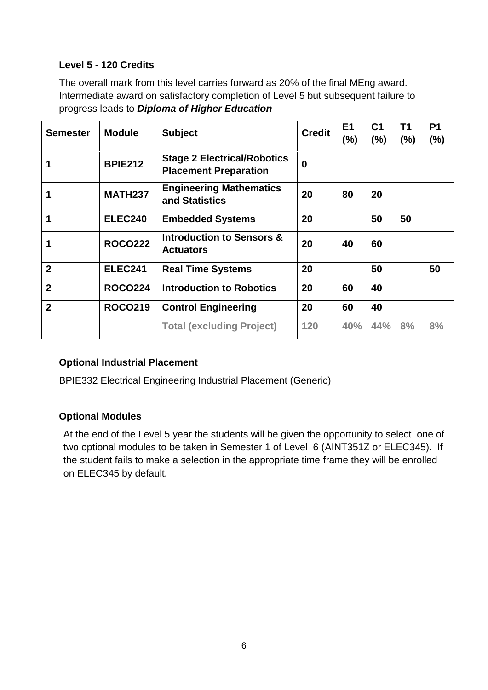## **Level 5 - 120 Credits**

The overall mark from this level carries forward as 20% of the final MEng award. Intermediate award on satisfactory completion of Level 5 but subsequent failure to progress leads to *Diploma of Higher Education*

| <b>Semester</b> | <b>Module</b>  | <b>Subject</b>                                                     | <b>Credit</b> | E <sub>1</sub><br>$(\%)$ | C <sub>1</sub><br>(%) | T <sub>1</sub><br>(%) | <b>P1</b><br>(%) |
|-----------------|----------------|--------------------------------------------------------------------|---------------|--------------------------|-----------------------|-----------------------|------------------|
|                 | <b>BPIE212</b> | <b>Stage 2 Electrical/Robotics</b><br><b>Placement Preparation</b> | 0             |                          |                       |                       |                  |
|                 | <b>MATH237</b> | <b>Engineering Mathematics</b><br>and Statistics                   | 20            | 80                       | 20                    |                       |                  |
| 1               | <b>ELEC240</b> | <b>Embedded Systems</b>                                            | 20            |                          | 50                    | 50                    |                  |
|                 | <b>ROCO222</b> | <b>Introduction to Sensors &amp;</b><br><b>Actuators</b>           | 20            | 40                       | 60                    |                       |                  |
| $\overline{2}$  | <b>ELEC241</b> | <b>Real Time Systems</b>                                           | 20            |                          | 50                    |                       | 50               |
| $\overline{2}$  | <b>ROCO224</b> | <b>Introduction to Robotics</b>                                    | 20            | 60                       | 40                    |                       |                  |
| $\overline{2}$  | <b>ROCO219</b> | <b>Control Engineering</b>                                         | 20            | 60                       | 40                    |                       |                  |
|                 |                | <b>Total (excluding Project)</b>                                   | 120           | 40%                      | 44%                   | 8%                    | 8%               |

### **Optional Industrial Placement**

BPIE332 Electrical Engineering Industrial Placement (Generic)

### **Optional Modules**

At the end of the Level 5 year the students will be given the opportunity to select one of two optional modules to be taken in Semester 1 of Level 6 (AINT351Z or ELEC345). If the student fails to make a selection in the appropriate time frame they will be enrolled on ELEC345 by default.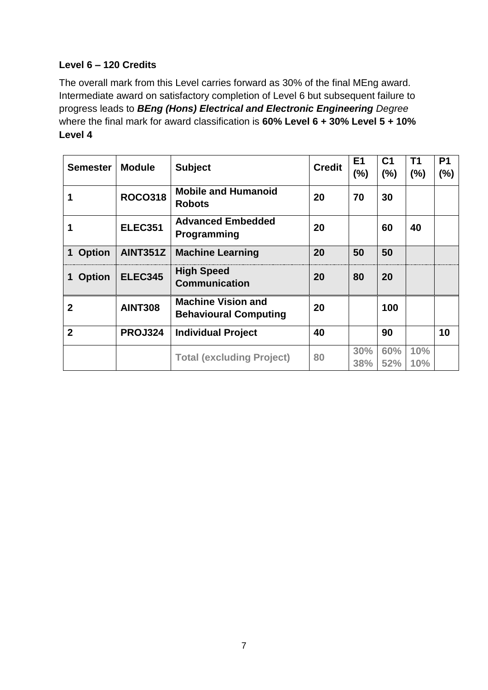## **Level 6 – 120 Credits**

The overall mark from this Level carries forward as 30% of the final MEng award. Intermediate award on satisfactory completion of Level 6 but subsequent failure to progress leads to *BEng (Hons) Electrical and Electronic Engineering Degree* where the final mark for award classification is **60% Level 6 + 30% Level 5 + 10% Level 4**

| <b>Semester</b>    | <b>Module</b>   | <b>Subject</b>                                            | <b>Credit</b> | E <sub>1</sub><br>(%) | C <sub>1</sub><br>(%) | T <sub>1</sub><br>(%) | P <sub>1</sub><br>(%) |
|--------------------|-----------------|-----------------------------------------------------------|---------------|-----------------------|-----------------------|-----------------------|-----------------------|
|                    | <b>ROCO318</b>  | <b>Mobile and Humanoid</b><br><b>Robots</b>               | 20            | 70                    | 30                    |                       |                       |
|                    | <b>ELEC351</b>  | <b>Advanced Embedded</b><br><b>Programming</b>            | 20            |                       | 60                    | 40                    |                       |
| 1 Option           | <b>AINT351Z</b> | <b>Machine Learning</b>                                   | 20            | 50                    | 50                    |                       |                       |
| <b>Option</b><br>1 | <b>ELEC345</b>  | <b>High Speed</b><br><b>Communication</b>                 | 20            | 80                    | 20                    |                       |                       |
| $\mathbf{2}$       | <b>AINT308</b>  | <b>Machine Vision and</b><br><b>Behavioural Computing</b> | 20            |                       | 100                   |                       |                       |
| $\overline{2}$     | <b>PROJ324</b>  | <b>Individual Project</b>                                 | 40            |                       | 90                    |                       | 10                    |
|                    |                 | <b>Total (excluding Project)</b>                          | 80            | 30%<br>38%            | 60%<br>52%            | 10%<br>10%            |                       |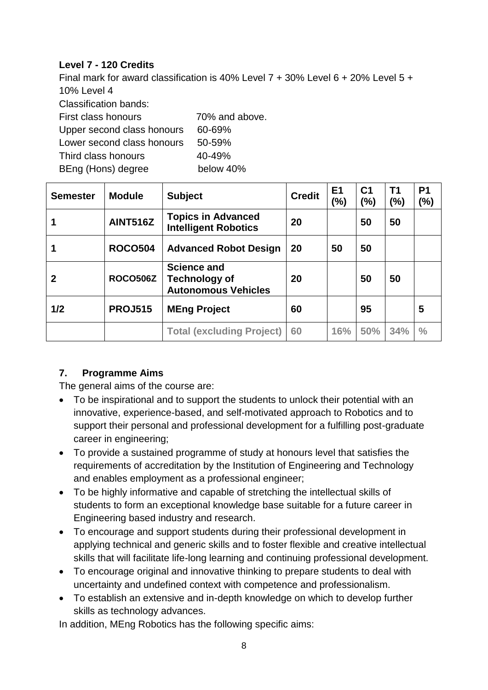## **Level 7 - 120 Credits**

Final mark for award classification is 40% Level 7 + 30% Level 6 + 20% Level 5 + 10% Level 4

Classification bands:

| First class honours        | 70% and above. |
|----------------------------|----------------|
| Upper second class honours | 60-69%         |
| Lower second class honours | 50-59%         |
| Third class honours        | 40-49%         |
| BEng (Hons) degree         | below 40%      |

| <b>Semester</b> | <b>Module</b>   | <b>Subject</b>                                                           | <b>Credit</b> | E <sub>1</sub><br>(%) | C <sub>1</sub><br>(%) | Τ1<br>(%) | P <sub>1</sub><br>(%) |
|-----------------|-----------------|--------------------------------------------------------------------------|---------------|-----------------------|-----------------------|-----------|-----------------------|
|                 | <b>AINT516Z</b> | <b>Topics in Advanced</b><br><b>Intelligent Robotics</b>                 | 20            |                       | 50                    | 50        |                       |
|                 | <b>ROCO504</b>  | <b>Advanced Robot Design</b>                                             | 20            | 50                    | 50                    |           |                       |
| 2               | <b>ROCO506Z</b> | <b>Science and</b><br><b>Technology of</b><br><b>Autonomous Vehicles</b> | 20            |                       | 50                    | 50        |                       |
| 1/2             | <b>PROJ515</b>  | <b>MEng Project</b>                                                      | 60            |                       | 95                    |           | 5                     |
|                 |                 | <b>Total (excluding Project)</b>                                         | 60            | 16%                   | 50%                   | 34%       | $\frac{0}{0}$         |

# **7. Programme Aims**

The general aims of the course are:

- To be inspirational and to support the students to unlock their potential with an innovative, experience-based, and self-motivated approach to Robotics and to support their personal and professional development for a fulfilling post-graduate career in engineering;
- To provide a sustained programme of study at honours level that satisfies the requirements of accreditation by the Institution of Engineering and Technology and enables employment as a professional engineer;
- To be highly informative and capable of stretching the intellectual skills of students to form an exceptional knowledge base suitable for a future career in Engineering based industry and research.
- To encourage and support students during their professional development in applying technical and generic skills and to foster flexible and creative intellectual skills that will facilitate life-long learning and continuing professional development.
- To encourage original and innovative thinking to prepare students to deal with uncertainty and undefined context with competence and professionalism.
- To establish an extensive and in-depth knowledge on which to develop further skills as technology advances.

In addition, MEng Robotics has the following specific aims: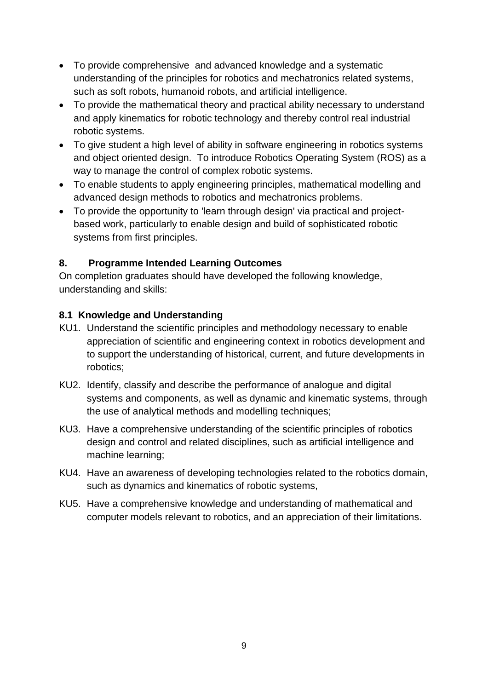- To provide comprehensive and advanced knowledge and a systematic understanding of the principles for robotics and mechatronics related systems, such as soft robots, humanoid robots, and artificial intelligence.
- To provide the mathematical theory and practical ability necessary to understand and apply kinematics for robotic technology and thereby control real industrial robotic systems.
- To give student a high level of ability in software engineering in robotics systems and object oriented design. To introduce Robotics Operating System (ROS) as a way to manage the control of complex robotic systems.
- To enable students to apply engineering principles, mathematical modelling and advanced design methods to robotics and mechatronics problems.
- To provide the opportunity to 'learn through design' via practical and projectbased work, particularly to enable design and build of sophisticated robotic systems from first principles.

## **8. Programme Intended Learning Outcomes**

On completion graduates should have developed the following knowledge, understanding and skills:

## **8.1 Knowledge and Understanding**

- KU1. Understand the scientific principles and methodology necessary to enable appreciation of scientific and engineering context in robotics development and to support the understanding of historical, current, and future developments in robotics;
- KU2. Identify, classify and describe the performance of analogue and digital systems and components, as well as dynamic and kinematic systems, through the use of analytical methods and modelling techniques;
- KU3. Have a comprehensive understanding of the scientific principles of robotics design and control and related disciplines, such as artificial intelligence and machine learning;
- KU4. Have an awareness of developing technologies related to the robotics domain, such as dynamics and kinematics of robotic systems,
- KU5. Have a comprehensive knowledge and understanding of mathematical and computer models relevant to robotics, and an appreciation of their limitations.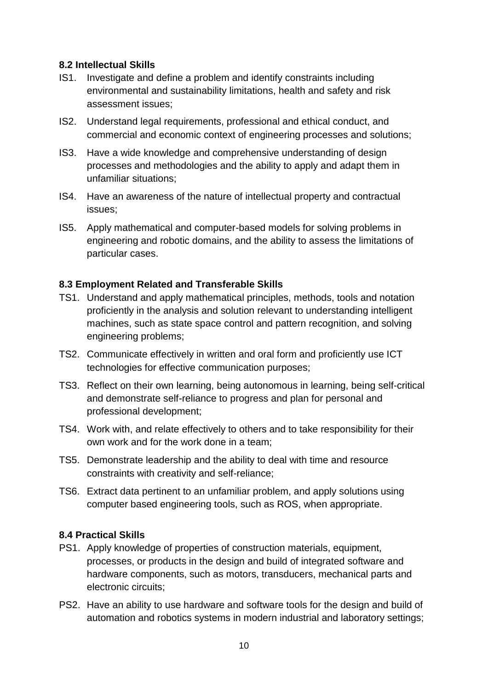#### **8.2 Intellectual Skills**

- IS1. Investigate and define a problem and identify constraints including environmental and sustainability limitations, health and safety and risk assessment issues;
- IS2. Understand legal requirements, professional and ethical conduct, and commercial and economic context of engineering processes and solutions;
- IS3. Have a wide knowledge and comprehensive understanding of design processes and methodologies and the ability to apply and adapt them in unfamiliar situations;
- IS4. Have an awareness of the nature of intellectual property and contractual issues;
- IS5. Apply mathematical and computer-based models for solving problems in engineering and robotic domains, and the ability to assess the limitations of particular cases.

### **8.3 Employment Related and Transferable Skills**

- TS1. Understand and apply mathematical principles, methods, tools and notation proficiently in the analysis and solution relevant to understanding intelligent machines, such as state space control and pattern recognition, and solving engineering problems;
- TS2. Communicate effectively in written and oral form and proficiently use ICT technologies for effective communication purposes;
- TS3. Reflect on their own learning, being autonomous in learning, being self-critical and demonstrate self-reliance to progress and plan for personal and professional development;
- TS4. Work with, and relate effectively to others and to take responsibility for their own work and for the work done in a team;
- TS5. Demonstrate leadership and the ability to deal with time and resource constraints with creativity and self-reliance;
- TS6. Extract data pertinent to an unfamiliar problem, and apply solutions using computer based engineering tools, such as ROS, when appropriate.

### **8.4 Practical Skills**

- PS1. Apply knowledge of properties of construction materials, equipment, processes, or products in the design and build of integrated software and hardware components, such as motors, transducers, mechanical parts and electronic circuits;
- PS2. Have an ability to use hardware and software tools for the design and build of automation and robotics systems in modern industrial and laboratory settings;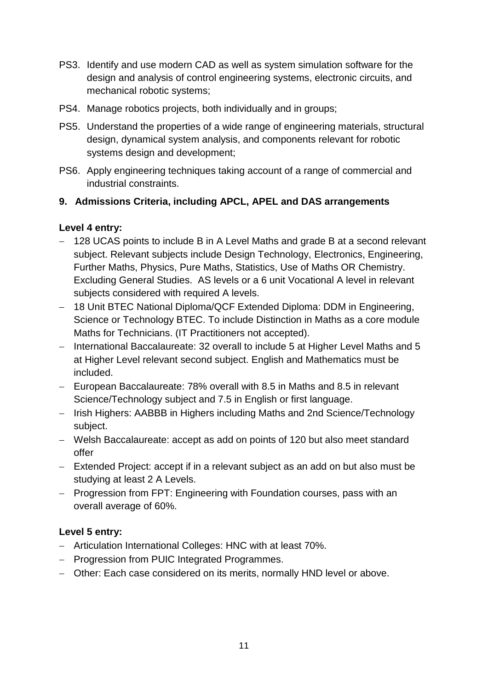- PS3. Identify and use modern CAD as well as system simulation software for the design and analysis of control engineering systems, electronic circuits, and mechanical robotic systems;
- PS4. Manage robotics projects, both individually and in groups;
- PS5. Understand the properties of a wide range of engineering materials, structural design, dynamical system analysis, and components relevant for robotic systems design and development;
- PS6. Apply engineering techniques taking account of a range of commercial and industrial constraints.

## **9. Admissions Criteria, including APCL, APEL and DAS arrangements**

## **Level 4 entry:**

- 128 UCAS points to include B in A Level Maths and grade B at a second relevant subject. Relevant subjects include Design Technology, Electronics, Engineering, Further Maths, Physics, Pure Maths, Statistics, Use of Maths OR Chemistry. Excluding General Studies. AS levels or a 6 unit Vocational A level in relevant subjects considered with required A levels.
- 18 Unit BTEC National Diploma/QCF Extended Diploma: DDM in Engineering, Science or Technology BTEC. To include Distinction in Maths as a core module Maths for Technicians. (IT Practitioners not accepted).
- International Baccalaureate: 32 overall to include 5 at Higher Level Maths and 5 at Higher Level relevant second subject. English and Mathematics must be included.
- European Baccalaureate: 78% overall with 8.5 in Maths and 8.5 in relevant Science/Technology subject and 7.5 in English or first language.
- Irish Highers: AABBB in Highers including Maths and 2nd Science/Technology subject.
- Welsh Baccalaureate: accept as add on points of 120 but also meet standard offer
- Extended Project: accept if in a relevant subject as an add on but also must be studying at least 2 A Levels.
- Progression from FPT: Engineering with Foundation courses, pass with an overall average of 60%.

## **Level 5 entry:**

- Articulation International Colleges: HNC with at least 70%.
- Progression from PUIC Integrated Programmes.
- Other: Each case considered on its merits, normally HND level or above.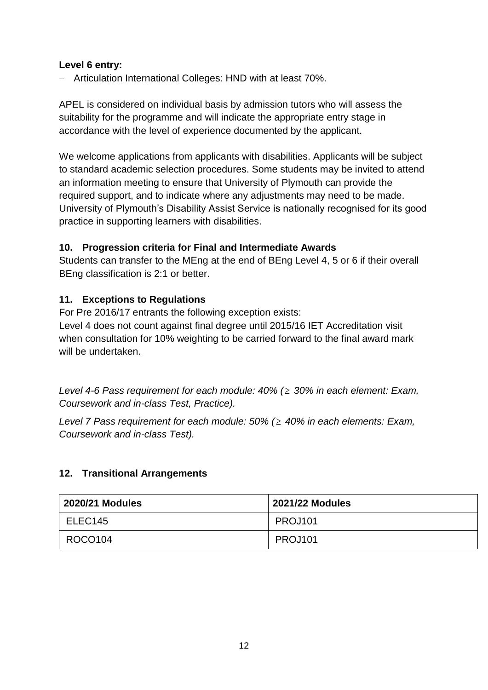## **Level 6 entry:**

- Articulation International Colleges: HND with at least 70%.

APEL is considered on individual basis by admission tutors who will assess the suitability for the programme and will indicate the appropriate entry stage in accordance with the level of experience documented by the applicant.

We welcome applications from applicants with disabilities. Applicants will be subject to standard academic selection procedures. Some students may be invited to attend an information meeting to ensure that University of Plymouth can provide the required support, and to indicate where any adjustments may need to be made. University of Plymouth's Disability Assist Service is nationally recognised for its good practice in supporting learners with disabilities.

## **10. Progression criteria for Final and Intermediate Awards**

Students can transfer to the MEng at the end of BEng Level 4, 5 or 6 if their overall BEng classification is 2:1 or better.

## **11. Exceptions to Regulations**

For Pre 2016/17 entrants the following exception exists:

Level 4 does not count against final degree until 2015/16 IET Accreditation visit when consultation for 10% weighting to be carried forward to the final award mark will be undertaken.

*Level 4-6 Pass requirement for each module: 40% ( 30% in each element: Exam, Coursework and in-class Test, Practice).*

*Level 7 Pass requirement for each module: 50% ( 40% in each elements: Exam, Coursework and in-class Test).*

### **12. Transitional Arrangements**

| <b>2020/21 Modules</b> | <b>2021/22 Modules</b> |
|------------------------|------------------------|
| ELEC145                | PROJ101                |
| ROCO104                | PROJ101                |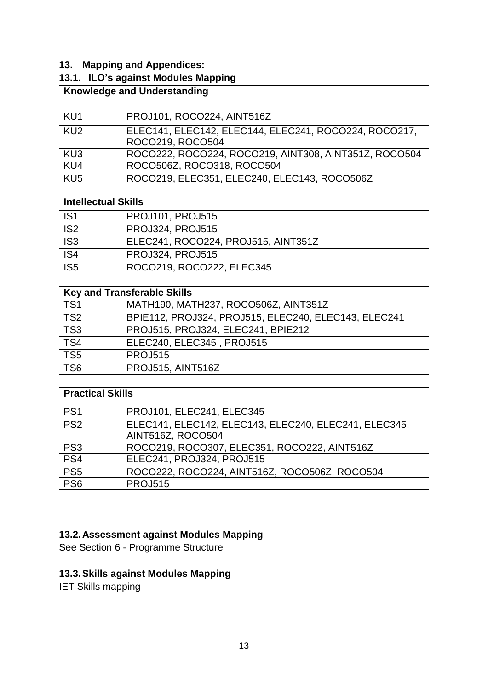# **13. Mapping and Appendices:**

## **13.1. ILO's against Modules Mapping**

|                            | <b>Knowledge and Understanding</b>                    |
|----------------------------|-------------------------------------------------------|
|                            |                                                       |
| KU1                        | PROJ101, ROCO224, AINT516Z                            |
| KU <sub>2</sub>            | ELEC141, ELEC142, ELEC144, ELEC241, ROCO224, ROCO217, |
|                            | ROCO219, ROCO504                                      |
| KU3                        | ROCO222, ROCO224, ROCO219, AINT308, AINT351Z, ROCO504 |
| KU4                        | ROCO506Z, ROCO318, ROCO504                            |
| KU <sub>5</sub>            | ROCO219, ELEC351, ELEC240, ELEC143, ROCO506Z          |
|                            |                                                       |
| <b>Intellectual Skills</b> |                                                       |
| IS <sub>1</sub>            | <b>PROJ101, PROJ515</b>                               |
| IS <sub>2</sub>            | <b>PROJ324, PROJ515</b>                               |
| IS <sub>3</sub>            | ELEC241, ROCO224, PROJ515, AINT351Z                   |
| IS <sub>4</sub>            | <b>PROJ324, PROJ515</b>                               |
| $\overline{\text{IS5}}$    | ROCO219, ROCO222, ELEC345                             |
|                            |                                                       |
|                            | <b>Key and Transferable Skills</b>                    |
| TS <sub>1</sub>            | MATH190, MATH237, ROCO506Z, AINT351Z                  |
| TS <sub>2</sub>            | BPIE112, PROJ324, PROJ515, ELEC240, ELEC143, ELEC241  |
| TS <sub>3</sub>            | PROJ515, PROJ324, ELEC241, BPIE212                    |
| TS4                        | ELEC240, ELEC345, PROJ515                             |
| TS <sub>5</sub>            | <b>PROJ515</b>                                        |
| TS <sub>6</sub>            | PROJ515, AINT516Z                                     |
|                            |                                                       |
| <b>Practical Skills</b>    |                                                       |
| PS <sub>1</sub>            | PROJ101, ELEC241, ELEC345                             |
| PS <sub>2</sub>            | ELEC141, ELEC142, ELEC143, ELEC240, ELEC241, ELEC345, |
|                            | AINT516Z, ROCO504                                     |
| PS <sub>3</sub>            | ROCO219, ROCO307, ELEC351, ROCO222, AINT516Z          |
| PS4                        | ELEC241, PROJ324, PROJ515                             |
| PS <sub>5</sub>            | ROCO222, ROCO224, AINT516Z, ROCO506Z, ROCO504         |
| PS <sub>6</sub>            | <b>PROJ515</b>                                        |

## **13.2.Assessment against Modules Mapping**

See Section 6 - Programme Structure

# **13.3.Skills against Modules Mapping**

IET Skills mapping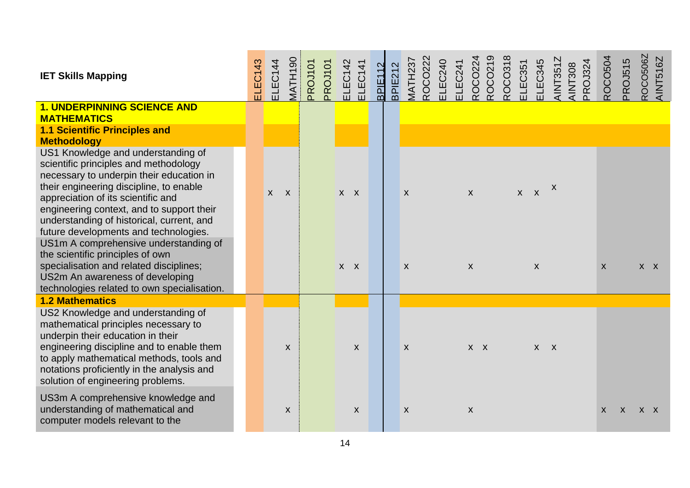| <b>IET Skills Mapping</b>                                                                                                                                                                                                                                                                                                                                                                                                                                                                                                                             | ELEC143 | ELEC144      | MATH190      | PROJ101 | PROJ101 | EC142<br>긊         | ELEC141            | $\mathbf{\Omega}$<br><b>PIE11</b><br>$\overline{m}$ | BPIE212 | <b>MATH237</b>    | <b>ROCO222</b> | ELEC240 | ELEC241 | <b>ROCO22</b>                | ROCO21 | ROCO31 | LEC351  | ELEC345 | <b>AINT3512</b> | <b>AINT308</b> | <b>PSCLOR</b> | <b>ROCO504</b> | PROJ515      | ROCO506Z<br><b>AINT516Z</b> |  |
|-------------------------------------------------------------------------------------------------------------------------------------------------------------------------------------------------------------------------------------------------------------------------------------------------------------------------------------------------------------------------------------------------------------------------------------------------------------------------------------------------------------------------------------------------------|---------|--------------|--------------|---------|---------|--------------------|--------------------|-----------------------------------------------------|---------|-------------------|----------------|---------|---------|------------------------------|--------|--------|---------|---------|-----------------|----------------|---------------|----------------|--------------|-----------------------------|--|
| <b>1. UNDERPINNING SCIENCE AND</b><br><b>MATHEMATICS</b>                                                                                                                                                                                                                                                                                                                                                                                                                                                                                              |         |              |              |         |         |                    |                    |                                                     |         |                   |                |         |         |                              |        |        |         |         |                 |                |               |                |              |                             |  |
| <b>1.1 Scientific Principles and</b><br><b>Methodology</b>                                                                                                                                                                                                                                                                                                                                                                                                                                                                                            |         |              |              |         |         |                    |                    |                                                     |         |                   |                |         |         |                              |        |        |         |         |                 |                |               |                |              |                             |  |
| US1 Knowledge and understanding of<br>scientific principles and methodology<br>necessary to underpin their education in<br>their engineering discipline, to enable<br>appreciation of its scientific and<br>engineering context, and to support their<br>understanding of historical, current, and<br>future developments and technologies.<br>US1m A comprehensive understanding of<br>the scientific principles of own<br>specialisation and related disciplines;<br>US2m An awareness of developing<br>technologies related to own specialisation. |         | $\mathsf{X}$ | $\mathsf{X}$ |         |         | $X$ $X$<br>$X$ $X$ |                    |                                                     |         | $\mathsf{X}$<br>X |                |         |         | $\mathsf{x}$<br>$\mathsf{x}$ |        |        | $X$ $X$ | X       | $\mathsf{X}$    |                |               | $\mathsf{X}$   |              | $X$ $X$                     |  |
| <b>1.2 Mathematics</b>                                                                                                                                                                                                                                                                                                                                                                                                                                                                                                                                |         |              |              |         |         |                    |                    |                                                     |         |                   |                |         |         |                              |        |        |         |         |                 |                |               |                |              |                             |  |
| US2 Knowledge and understanding of<br>mathematical principles necessary to<br>underpin their education in their<br>engineering discipline and to enable them<br>to apply mathematical methods, tools and<br>notations proficiently in the analysis and<br>solution of engineering problems.                                                                                                                                                                                                                                                           |         |              | $\mathsf{x}$ |         |         |                    | $\mathsf{X}$       |                                                     |         | X                 |                |         |         | $X$ $X$                      |        |        |         | $X$ $X$ |                 |                |               |                |              |                             |  |
| US3m A comprehensive knowledge and<br>understanding of mathematical and<br>computer models relevant to the                                                                                                                                                                                                                                                                                                                                                                                                                                            |         |              | X            |         |         |                    | $\pmb{\mathsf{X}}$ |                                                     |         | X                 |                |         |         | $\boldsymbol{X}$             |        |        |         |         |                 |                |               | $\mathsf{x}$   | $\mathsf{x}$ | $X \times$                  |  |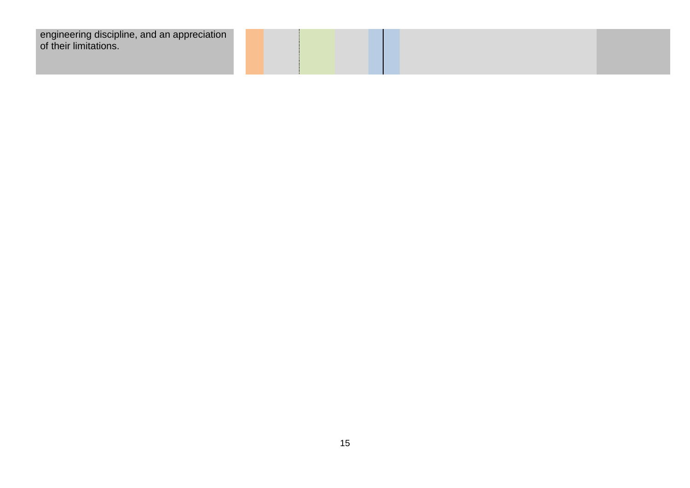| engineering discipline, and an appreciation |  |  |  |
|---------------------------------------------|--|--|--|
| of their limitations.                       |  |  |  |
|                                             |  |  |  |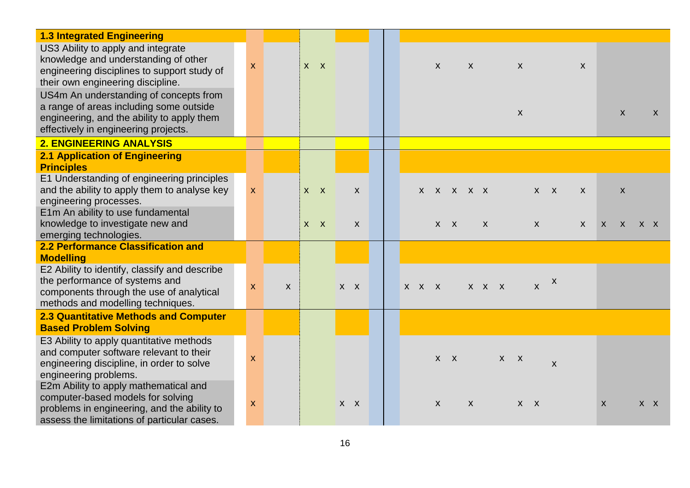| <b>1.3 Integrated Engineering</b>                                                                                                                                                                                                                                                                                                         |                  |   |         |         |              |  |             |                    |              |              |              |     |                                        |              |                  |              |              |                    |              |
|-------------------------------------------------------------------------------------------------------------------------------------------------------------------------------------------------------------------------------------------------------------------------------------------------------------------------------------------|------------------|---|---------|---------|--------------|--|-------------|--------------------|--------------|--------------|--------------|-----|----------------------------------------|--------------|------------------|--------------|--------------|--------------------|--------------|
| US3 Ability to apply and integrate<br>knowledge and understanding of other<br>engineering disciplines to support study of<br>their own engineering discipline.<br>US4m An understanding of concepts from<br>a range of areas including some outside<br>engineering, and the ability to apply them<br>effectively in engineering projects. | X                |   | $X$ $X$ |         |              |  |             | $\pmb{\mathsf{X}}$ |              | $\mathsf{X}$ |              |     | $\boldsymbol{X}$<br>$\pmb{\mathsf{X}}$ |              |                  | $\mathsf{x}$ |              | $\pmb{\mathsf{X}}$ | $\mathsf{X}$ |
| <b>2. ENGINEERING ANALYSIS</b>                                                                                                                                                                                                                                                                                                            |                  |   |         |         |              |  |             |                    |              |              |              |     |                                        |              |                  |              |              |                    |              |
| <b>2.1 Application of Engineering</b><br><b>Principles</b>                                                                                                                                                                                                                                                                                |                  |   |         |         |              |  |             |                    |              |              |              |     |                                        |              |                  |              |              |                    |              |
| E1 Understanding of engineering principles<br>and the ability to apply them to analyse key<br>engineering processes.                                                                                                                                                                                                                      | $\boldsymbol{X}$ |   | $X$ $X$ |         | $\mathsf{x}$ |  |             |                    | x x x x x    |              |              |     |                                        | $X$ $X$      |                  | $\mathsf{X}$ |              | $\boldsymbol{X}$   |              |
| E1m An ability to use fundamental<br>knowledge to investigate new and<br>emerging technologies.                                                                                                                                                                                                                                           |                  |   | $X$ $X$ |         | X            |  |             | $\mathsf{X}$       | $\mathsf{X}$ |              | $\mathsf{X}$ |     |                                        | $\mathsf{X}$ |                  | X            | $\mathsf{X}$ | $\mathsf{X}$       | $X$ $X$      |
| 2.2 Performance Classification and<br><b>Modelling</b>                                                                                                                                                                                                                                                                                    |                  |   |         |         |              |  |             |                    |              |              |              |     |                                        |              |                  |              |              |                    |              |
| E2 Ability to identify, classify and describe<br>the performance of systems and<br>components through the use of analytical<br>methods and modelling techniques.                                                                                                                                                                          | X                | X |         | $X$ $X$ |              |  | $X$ $X$ $X$ |                    |              |              | X X X        |     |                                        | $\mathsf{X}$ | $\boldsymbol{X}$ |              |              |                    |              |
| <b>2.3 Quantitative Methods and Computer</b><br><b>Based Problem Solving</b>                                                                                                                                                                                                                                                              |                  |   |         |         |              |  |             |                    |              |              |              |     |                                        |              |                  |              |              |                    |              |
| E3 Ability to apply quantitative methods<br>and computer software relevant to their<br>engineering discipline, in order to solve<br>engineering problems.                                                                                                                                                                                 | $\boldsymbol{X}$ |   |         |         |              |  |             | $\mathsf{X}$       | $\mathbf{X}$ |              |              | X X |                                        |              | $\mathsf{X}$     |              |              |                    |              |
| E2m Ability to apply mathematical and<br>computer-based models for solving<br>problems in engineering, and the ability to<br>assess the limitations of particular cases.                                                                                                                                                                  | X                |   |         | $X$ $X$ |              |  |             | $\pmb{\mathsf{X}}$ |              | $\mathsf{X}$ |              |     | $X$ $X$                                |              |                  |              | $\mathsf{X}$ |                    | $X$ $X$      |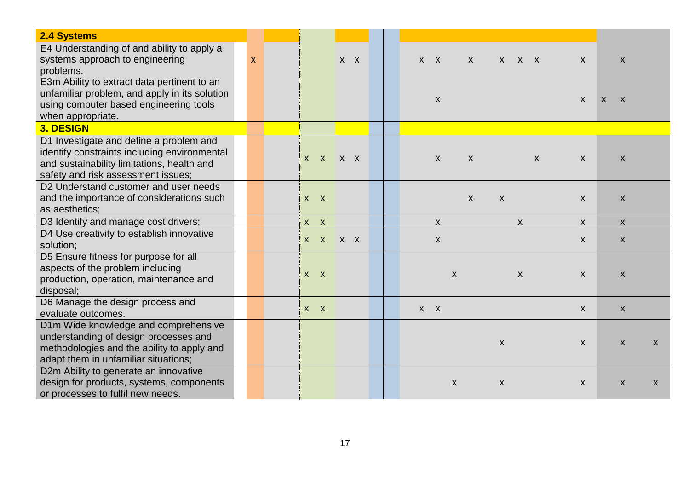| <b>2.4 Systems</b>                                                                                                                                                          |   |         |         |       |         |  |                    |                  |              |       |              |              |                  |                    |   |
|-----------------------------------------------------------------------------------------------------------------------------------------------------------------------------|---|---------|---------|-------|---------|--|--------------------|------------------|--------------|-------|--------------|--------------|------------------|--------------------|---|
| E4 Understanding of and ability to apply a<br>systems approach to engineering<br>problems.                                                                                  | X |         |         |       | $X$ $X$ |  | $X$ $X$            |                  | X            | x x x |              |              | X                | $\pmb{\mathsf{X}}$ |   |
| E3m Ability to extract data pertinent to an<br>unfamiliar problem, and apply in its solution<br>using computer based engineering tools<br>when appropriate.                 |   |         |         |       |         |  | $\pmb{\mathsf{X}}$ |                  |              |       |              |              | X                | $X$ $X$            |   |
| 3. DESIGN                                                                                                                                                                   |   |         |         |       |         |  |                    |                  |              |       |              |              |                  |                    |   |
| D1 Investigate and define a problem and<br>identify constraints including environmental<br>and sustainability limitations, health and<br>safety and risk assessment issues; |   |         | X X X X |       |         |  | $\boldsymbol{X}$   |                  | $\mathsf{X}$ |       |              | $\mathsf{X}$ | X                | X                  |   |
| D2 Understand customer and user needs<br>and the importance of considerations such<br>as aesthetics;                                                                        |   | $X$ $X$ |         |       |         |  |                    |                  | $\mathsf{X}$ | X     |              |              | X                | X                  |   |
| D3 Identify and manage cost drivers;                                                                                                                                        |   | $X$ $X$ |         |       |         |  | $\mathsf{X}$       |                  |              |       | $\mathsf{x}$ |              | X                | X                  |   |
| D4 Use creativity to establish innovative<br>solution;                                                                                                                      |   |         | $X$ $X$ | $X$ X |         |  | $\mathsf{X}$       |                  |              |       |              |              | X                | X                  |   |
| D5 Ensure fitness for purpose for all<br>aspects of the problem including<br>production, operation, maintenance and<br>disposal;                                            |   | $X$ $X$ |         |       |         |  |                    | $\mathsf{X}$     |              |       | $\mathsf{x}$ |              | $\boldsymbol{X}$ | $\pmb{\mathsf{X}}$ |   |
| D6 Manage the design process and<br>evaluate outcomes.                                                                                                                      |   | $X$ $X$ |         |       |         |  | $X$ $X$            |                  |              |       |              |              | $\mathsf{X}$     | $\pmb{\mathsf{X}}$ |   |
| D1m Wide knowledge and comprehensive<br>understanding of design processes and<br>methodologies and the ability to apply and<br>adapt them in unfamiliar situations;         |   |         |         |       |         |  |                    |                  |              | X     |              |              | X                | X                  | X |
| D2m Ability to generate an innovative<br>design for products, systems, components<br>or processes to fulfil new needs.                                                      |   |         |         |       |         |  |                    | $\boldsymbol{X}$ |              | X     |              |              | X                | X                  | X |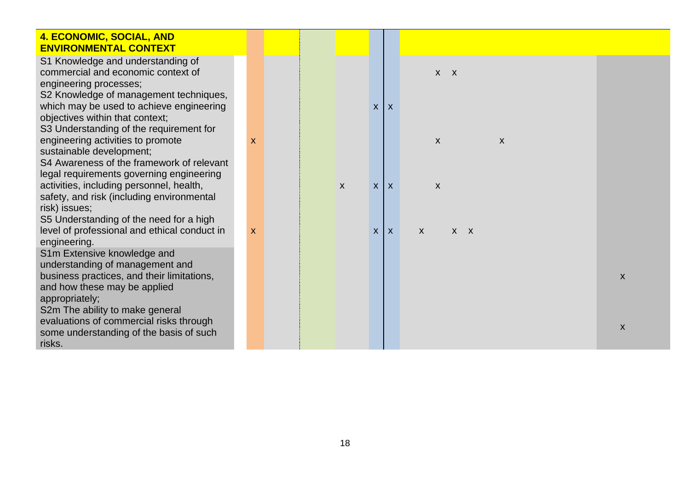| 4. ECONOMIC, SOCIAL, AND<br><b>ENVIRONMENTAL CONTEXT</b>                                                                                                                                                                   |                           |  |              |                  |                         |                                                 |   |
|----------------------------------------------------------------------------------------------------------------------------------------------------------------------------------------------------------------------------|---------------------------|--|--------------|------------------|-------------------------|-------------------------------------------------|---|
| S1 Knowledge and understanding of<br>commercial and economic context of<br>engineering processes;<br>S2 Knowledge of management techniques,<br>which may be used to achieve engineering<br>objectives within that context; |                           |  |              | $\boldsymbol{X}$ | $\mathsf{X}$            | $X$ $X$                                         |   |
| S3 Understanding of the requirement for<br>engineering activities to promote<br>sustainable development;<br>S4 Awareness of the framework of relevant<br>legal requirements governing engineering                          | X                         |  |              |                  |                         | $\pmb{\mathsf{X}}$<br>$\boldsymbol{\mathsf{X}}$ |   |
| activities, including personnel, health,<br>safety, and risk (including environmental<br>risk) issues;                                                                                                                     |                           |  | $\mathsf{X}$ | $\mathsf{X}$     | $\mathsf{I} \mathsf{X}$ | X                                               |   |
| S5 Understanding of the need for a high<br>level of professional and ethical conduct in<br>engineering.<br>S1m Extensive knowledge and                                                                                     | $\boldsymbol{\mathsf{X}}$ |  |              | $x \mid x$       |                         | X<br>$X$ $X$                                    |   |
| understanding of management and<br>business practices, and their limitations,<br>and how these may be applied<br>appropriately;<br>S2m The ability to make general                                                         |                           |  |              |                  |                         |                                                 | X |
| evaluations of commercial risks through<br>some understanding of the basis of such<br>risks.                                                                                                                               |                           |  |              |                  |                         |                                                 | X |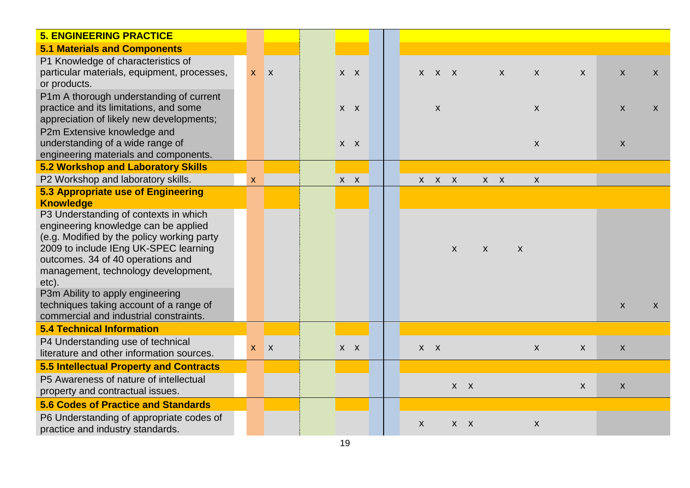| <b>5. ENGINEERING PRACTICE</b>                                                                                                                                                                                                                                                                                                                                                     |   |         |         |  |                    |                    |                    |                    |                  |                    |              |                    |                    |
|------------------------------------------------------------------------------------------------------------------------------------------------------------------------------------------------------------------------------------------------------------------------------------------------------------------------------------------------------------------------------------|---|---------|---------|--|--------------------|--------------------|--------------------|--------------------|------------------|--------------------|--------------|--------------------|--------------------|
| <b>5.1 Materials and Components</b>                                                                                                                                                                                                                                                                                                                                                |   |         |         |  |                    |                    |                    |                    |                  |                    |              |                    |                    |
| P1 Knowledge of characteristics of<br>particular materials, equipment, processes,<br>or products.                                                                                                                                                                                                                                                                                  |   | $X$ $X$ | $X$ $X$ |  |                    | $X$ $X$ $X$        |                    |                    | $\boldsymbol{X}$ | $\mathsf{X}$       | $\mathsf{X}$ | $\pmb{\mathsf{X}}$ | $\mathsf{X}$       |
| P1m A thorough understanding of current<br>practice and its limitations, and some<br>appreciation of likely new developments;                                                                                                                                                                                                                                                      |   |         | $X$ $X$ |  |                    | $\pmb{\mathsf{X}}$ |                    |                    |                  | $\pmb{\mathsf{X}}$ |              | $\pmb{\mathsf{X}}$ | $\pmb{\mathsf{X}}$ |
| P2m Extensive knowledge and<br>understanding of a wide range of<br>engineering materials and components.                                                                                                                                                                                                                                                                           |   |         | $X$ $X$ |  |                    |                    |                    |                    |                  | $\pmb{\mathsf{X}}$ |              | $\pmb{\mathsf{X}}$ |                    |
| 5.2 Workshop and Laboratory Skills                                                                                                                                                                                                                                                                                                                                                 |   |         |         |  |                    |                    |                    |                    |                  |                    |              |                    |                    |
| P2 Workshop and laboratory skills.                                                                                                                                                                                                                                                                                                                                                 | X |         | $X$ $X$ |  | $\mathsf{X}^-$     | $X$ $X$            |                    |                    | $X$ $X$          | $\pmb{\mathsf{X}}$ |              |                    |                    |
| 5.3 Appropriate use of Engineering<br><b>Knowledge</b>                                                                                                                                                                                                                                                                                                                             |   |         |         |  |                    |                    |                    |                    |                  |                    |              |                    |                    |
| P3 Understanding of contexts in which<br>engineering knowledge can be applied<br>(e.g. Modified by the policy working party<br>2009 to include IEng UK-SPEC learning<br>outcomes. 34 of 40 operations and<br>management, technology development,<br>etc).<br>P3m Ability to apply engineering<br>techniques taking account of a range of<br>commercial and industrial constraints. |   |         |         |  |                    |                    | $\pmb{\mathsf{X}}$ | $\pmb{\mathsf{X}}$ |                  | $\boldsymbol{X}$   |              | $\pmb{\mathsf{X}}$ | $\mathsf{X}$       |
| <b>5.4 Technical Information</b>                                                                                                                                                                                                                                                                                                                                                   |   |         |         |  |                    |                    |                    |                    |                  |                    |              |                    |                    |
| P4 Understanding use of technical<br>literature and other information sources.                                                                                                                                                                                                                                                                                                     |   | $X$ $X$ | $X$ $X$ |  | $X$ $X$            |                    |                    |                    |                  | $\mathsf{X}$       | $\mathsf{X}$ | $\pmb{\mathsf{X}}$ |                    |
| 5.5 Intellectual Property and Contracts                                                                                                                                                                                                                                                                                                                                            |   |         |         |  |                    |                    |                    |                    |                  |                    |              |                    |                    |
| P5 Awareness of nature of intellectual<br>property and contractual issues.                                                                                                                                                                                                                                                                                                         |   |         |         |  |                    |                    | $X$ $X$            |                    |                  |                    | $\mathsf{X}$ | $\pmb{\mathsf{X}}$ |                    |
| <b>5.6 Codes of Practice and Standards</b>                                                                                                                                                                                                                                                                                                                                         |   |         |         |  |                    |                    |                    |                    |                  |                    |              |                    |                    |
| P6 Understanding of appropriate codes of<br>practice and industry standards.                                                                                                                                                                                                                                                                                                       |   |         |         |  | $\pmb{\mathsf{X}}$ |                    | $X$ $X$            |                    |                  | $\pmb{\mathsf{X}}$ |              |                    |                    |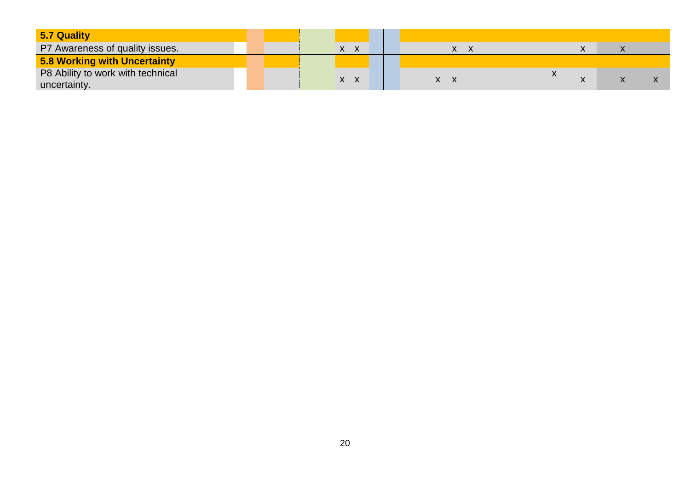| 5.7 Quality                       |  |              |  |    |           |  |
|-----------------------------------|--|--------------|--|----|-----------|--|
| P7 Awareness of quality issues.   |  | X.           |  | y. | $\lambda$ |  |
| 5.8 Working with Uncertainty      |  |              |  |    |           |  |
| P8 Ability to work with technical |  | $\mathsf{X}$ |  | X. |           |  |
| uncertainty.                      |  |              |  |    |           |  |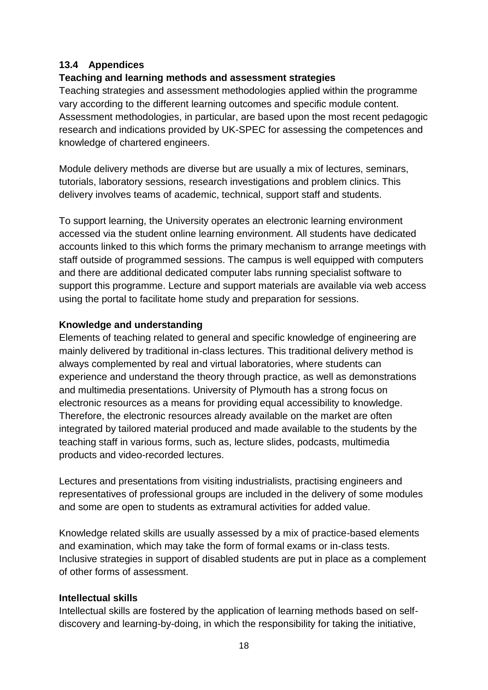## **13.4 Appendices**

## **Teaching and learning methods and assessment strategies**

Teaching strategies and assessment methodologies applied within the programme vary according to the different learning outcomes and specific module content. Assessment methodologies, in particular, are based upon the most recent pedagogic research and indications provided by UK-SPEC for assessing the competences and knowledge of chartered engineers.

Module delivery methods are diverse but are usually a mix of lectures, seminars, tutorials, laboratory sessions, research investigations and problem clinics. This delivery involves teams of academic, technical, support staff and students.

To support learning, the University operates an electronic learning environment accessed via the student online learning environment. All students have dedicated accounts linked to this which forms the primary mechanism to arrange meetings with staff outside of programmed sessions. The campus is well equipped with computers and there are additional dedicated computer labs running specialist software to support this programme. Lecture and support materials are available via web access using the portal to facilitate home study and preparation for sessions.

### **Knowledge and understanding**

Elements of teaching related to general and specific knowledge of engineering are mainly delivered by traditional in-class lectures. This traditional delivery method is always complemented by real and virtual laboratories, where students can experience and understand the theory through practice, as well as demonstrations and multimedia presentations. University of Plymouth has a strong focus on electronic resources as a means for providing equal accessibility to knowledge. Therefore, the electronic resources already available on the market are often integrated by tailored material produced and made available to the students by the teaching staff in various forms, such as, lecture slides, podcasts, multimedia products and video-recorded lectures.

Lectures and presentations from visiting industrialists, practising engineers and representatives of professional groups are included in the delivery of some modules and some are open to students as extramural activities for added value.

Knowledge related skills are usually assessed by a mix of practice-based elements and examination, which may take the form of formal exams or in-class tests. Inclusive strategies in support of disabled students are put in place as a complement of other forms of assessment.

### **Intellectual skills**

Intellectual skills are fostered by the application of learning methods based on selfdiscovery and learning-by-doing, in which the responsibility for taking the initiative,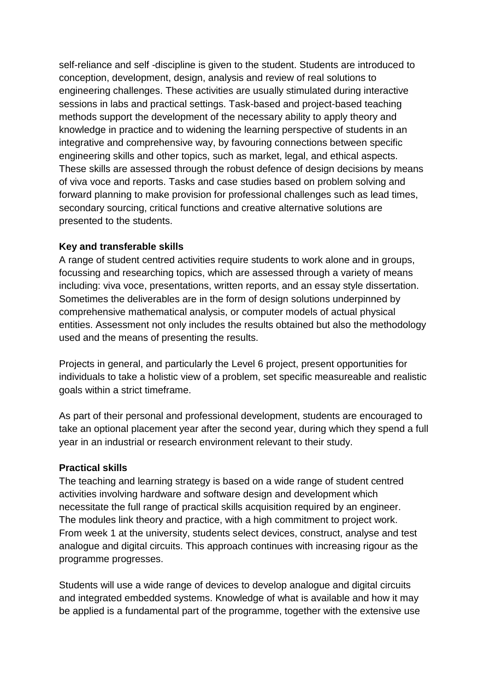self-reliance and self -discipline is given to the student. Students are introduced to conception, development, design, analysis and review of real solutions to engineering challenges. These activities are usually stimulated during interactive sessions in labs and practical settings. Task-based and project-based teaching methods support the development of the necessary ability to apply theory and knowledge in practice and to widening the learning perspective of students in an integrative and comprehensive way, by favouring connections between specific engineering skills and other topics, such as market, legal, and ethical aspects. These skills are assessed through the robust defence of design decisions by means of viva voce and reports. Tasks and case studies based on problem solving and forward planning to make provision for professional challenges such as lead times, secondary sourcing, critical functions and creative alternative solutions are presented to the students.

#### **Key and transferable skills**

A range of student centred activities require students to work alone and in groups, focussing and researching topics, which are assessed through a variety of means including: viva voce, presentations, written reports, and an essay style dissertation. Sometimes the deliverables are in the form of design solutions underpinned by comprehensive mathematical analysis, or computer models of actual physical entities. Assessment not only includes the results obtained but also the methodology used and the means of presenting the results.

Projects in general, and particularly the Level 6 project, present opportunities for individuals to take a holistic view of a problem, set specific measureable and realistic goals within a strict timeframe.

As part of their personal and professional development, students are encouraged to take an optional placement year after the second year, during which they spend a full year in an industrial or research environment relevant to their study.

### **Practical skills**

The teaching and learning strategy is based on a wide range of student centred activities involving hardware and software design and development which necessitate the full range of practical skills acquisition required by an engineer. The modules link theory and practice, with a high commitment to project work. From week 1 at the university, students select devices, construct, analyse and test analogue and digital circuits. This approach continues with increasing rigour as the programme progresses.

Students will use a wide range of devices to develop analogue and digital circuits and integrated embedded systems. Knowledge of what is available and how it may be applied is a fundamental part of the programme, together with the extensive use